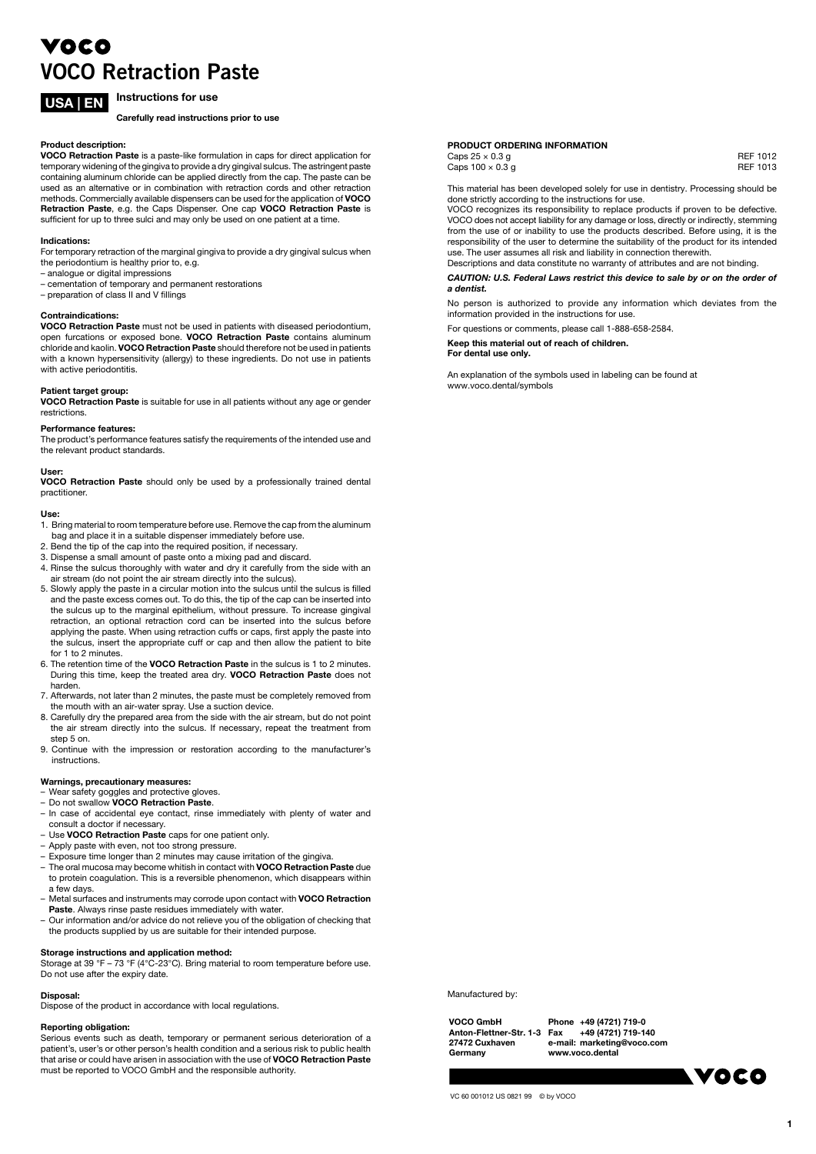# VOCO VOCO Retraction Paste

# USA | EN Instructions for use

Carefully read instructions prior to use

#### Product description:

VOCO Retraction Paste is a paste-like formulation in caps for direct application for temporary widening of the gingiva to provide a dry gingival sulcus. The astringent paste containing aluminum chloride can be applied directly from the cap. The paste can be used as an alternative or in combination with retraction cords and other retraction methods. Commercially available dispensers can be used for the application of VOCO **Retraction Paste**, e.g. the Caps Dispenser. One cap **VOCO Retraction Paste** is<br>sufficient for up to three sulci and may only be used on one patient at a time.

#### Indications:

For temporary retraction of the marginal gingiva to provide a dry gingival sulcus when the periodontium is healthy prior to, e.g.

- analogue or digital impressions
- cementation of temporary and permanent restorations
- preparation of class II and V fillings

#### Contraindications:

VOCO Retraction Paste must not be used in patients with diseased periodontium, open furcations or exposed bone. VOCO Retraction Paste contains aluminum chloride and kaolin. VOCO Retraction Paste should therefore not be used in patients with a known hypersensitivity (allergy) to these ingredients. Do not use in patients with active periodontitis.

### Patient target group:

VOCO Retraction Paste is suitable for use in all patients without any age or gender restrictions.

#### Performance features:

The product's performance features satisfy the requirements of the intended use and the relevant product standards.

#### User:

VOCO Retraction Paste should only be used by a professionally trained dental practitioner.

#### Use:

1. Bring material to room temperature before use. Remove the cap from the aluminum bag and place it in a suitable dispenser immediately before use.

- 2. Bend the tip of the cap into the required position, if necessary.
- 3. Dispense a small amount of paste onto a mixing pad and discard.
- 4. Rinse the sulcus thoroughly with water and dry it carefully from the side with an air stream (do not point the air stream directly into the sulcus).
- 5. Slowly apply the paste in a circular motion into the sulcus until the sulcus is filled and the paste excess comes out. To do this, the tip of the cap can be inserted into the sulcus up to the marginal epithelium, without pressure. To increase gingival retraction, an optional retraction cord can be inserted into the sulcus before applying the paste. When using retraction cuffs or caps, first apply the paste into the sulcus, insert the appropriate cuff or cap and then allow the patient to bite for 1 to 2 minutes
- 6. The retention time of the VOCO Retraction Paste in the sulcus is 1 to 2 minutes. During this time, keep the treated area dry. VOCO Retraction Paste does not harden.
- 7. Afterwards, not later than 2 minutes, the paste must be completely removed from the mouth with an air-water spray. Use a suction device.
- 8. Carefully dry the prepared area from the side with the air stream, but do not point the air stream directly into the sulcus. If necessary, repeat the treatment from step 5 on.
- 9. Continue with the impression or restoration according to the manufacturer's instructions.

# Warnings, precautionary measures:

- Wear safety goggles and protective gloves.
- Do not swallow VOCO Retraction Paste. – In case of accidental eye contact, rinse immediately with plenty of water and consult a doctor if necessary.
- Use VOCO Retraction Paste caps for one patient only.
- Apply paste with even, not too strong pressure.
- 
- Exposure time longer than 2 minutes may cause irritation of the gingiva.<br>– The oral mucosa may become whitish in contact with **VOCO Retraction Paste** due
- the starmassed may become windown conduct with vece ricitation. These das to protein coagulation. This is a reversible phenomenon, which disappears within a few days.
- Metal surfaces and instruments may corrode upon contact with VOCO Retraction Paste. Always rinse paste residues immediately with water.<br>- Our information and/or advice do not relieve you of the obligation of checking that
- the products supplied by us are suitable for their intended purpose.

### Storage instructions and application method:

Storage at 39 °F – 73 °F (4°C-23°C). Bring material to room temperature before use. Do not use after the expiry date.

### Disposal:

Dispose of the product in accordance with local regulations.

# Reporting obligation:

Serious events such as death, temporary or permanent serious deterioration of a patient's, user's or other person's health condition and a serious risk to public health<br>that arise or could have arisen in association with the use of **VOCO Retraction Paste** must be reported to VOCO GmbH and the responsible authority.

# PRODUCT ORDERING INFORMATION

 $\text{Caps } 25 \times 0.3 \text{ g}$  REF 1012 Caps  $100 \times 0.3$  g

This material has been developed solely for use in dentistry. Processing should be done strictly according to the instructions for use.

VOCO recognizes its responsibility to replace products if proven to be defective. VOCO does not accept liability for any damage or loss, directly or indirectly, stemming from the use of or inability to use the products described. Before using, it is the responsibility of the user to determine the suitability of the product for its intended use. The user assumes all risk and liability in connection therewith. Descriptions and data constitute no warranty of attributes and are not binding.

#### CAUTION: U.S. Federal Laws restrict this device to sale by or on the order of a dentist.

No person is authorized to provide any information which deviates from the information provided in the instructions for use.

For questions or comments, please call 1-888-658-2584.

Keep this material out of reach of children. For dental use only.

An explanation of the symbols used in labeling can be found at www.voco.dental/symbols

Manufactured by:

VOCO GmbH Anton-Flettner-Str. 1-3 27472 Cuxhaven **Germany** 

Phone +49 (4721) 719-0 Fax +49 (4721) 719-140 e-mail: marketing@voco.com www.voco.dental

**VOCO** 

1

VC 60 001012 US 0821 99 © by VOCO